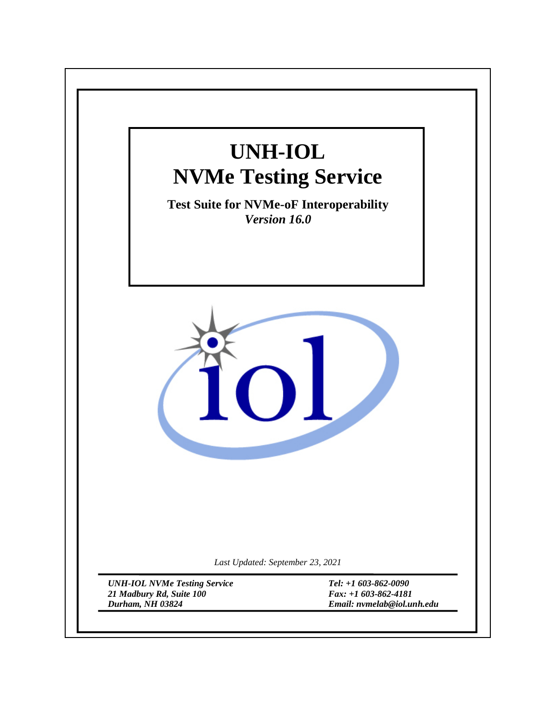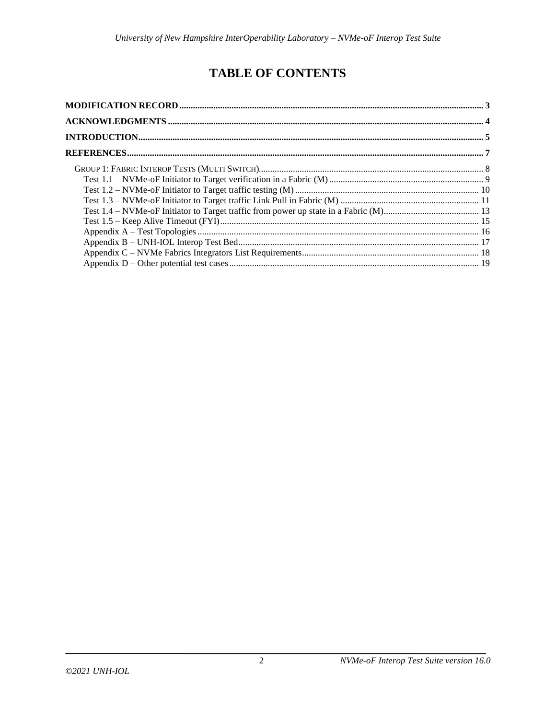# **TABLE OF CONTENTS**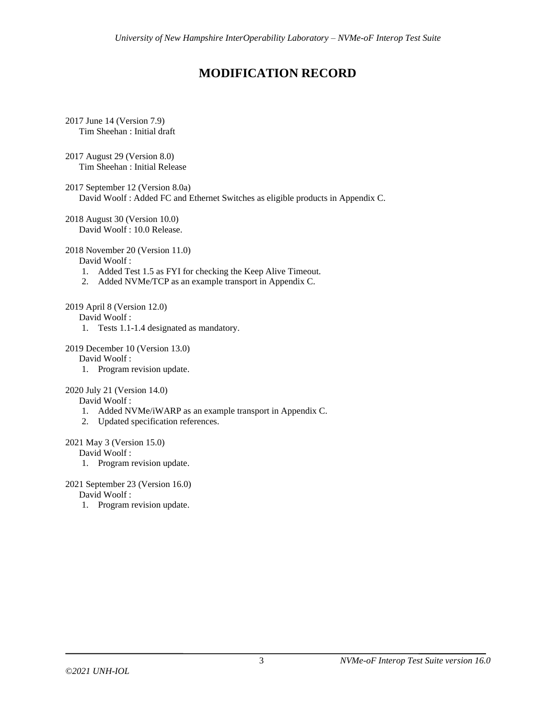# **MODIFICATION RECORD**

- <span id="page-2-0"></span>2017 June 14 (Version 7.9) Tim Sheehan : Initial draft
- 2017 August 29 (Version 8.0) Tim Sheehan : Initial Release
- 2017 September 12 (Version 8.0a) David Woolf : Added FC and Ethernet Switches as eligible products in Appendix C.
- 2018 August 30 (Version 10.0) David Woolf : 10.0 Release.

#### 2018 November 20 (Version 11.0)

David Woolf :

- 1. Added Test 1.5 as FYI for checking the Keep Alive Timeout.
- 2. Added NVMe/TCP as an example transport in Appendix C.

## 2019 April 8 (Version 12.0)

David Woolf :

1. Tests 1.1-1.4 designated as mandatory.

### 2019 December 10 (Version 13.0)

# David Woolf :

1. Program revision update.

# 2020 July 21 (Version 14.0)

### David Woolf :

- 1. Added NVMe/iWARP as an example transport in Appendix C.
- 2. Updated specification references.

### 2021 May 3 (Version 15.0)

David Woolf :

1. Program revision update.

## 2021 September 23 (Version 16.0)

David Woolf :

1. Program revision update.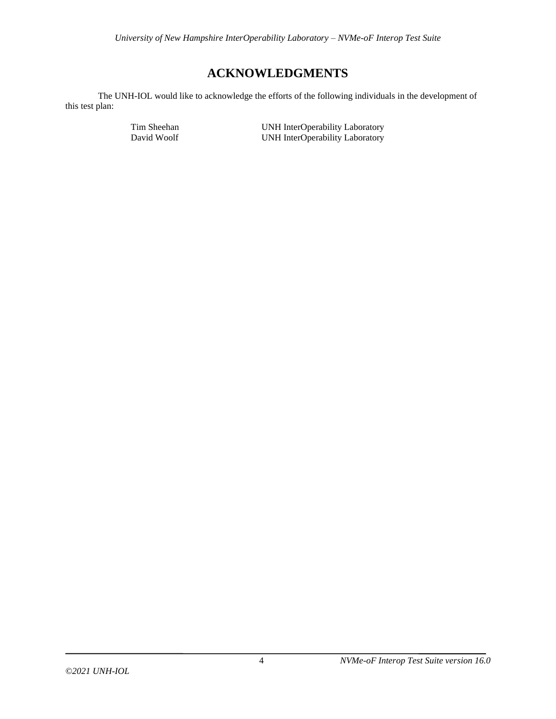# **ACKNOWLEDGMENTS**

<span id="page-3-0"></span>The UNH-IOL would like to acknowledge the efforts of the following individuals in the development of this test plan:

Tim Sheehan UNH InterOperability Laboratory<br>
UNH InterOperability Laboratory<br>
UNH InterOperability Laboratory UNH InterOperability Laboratory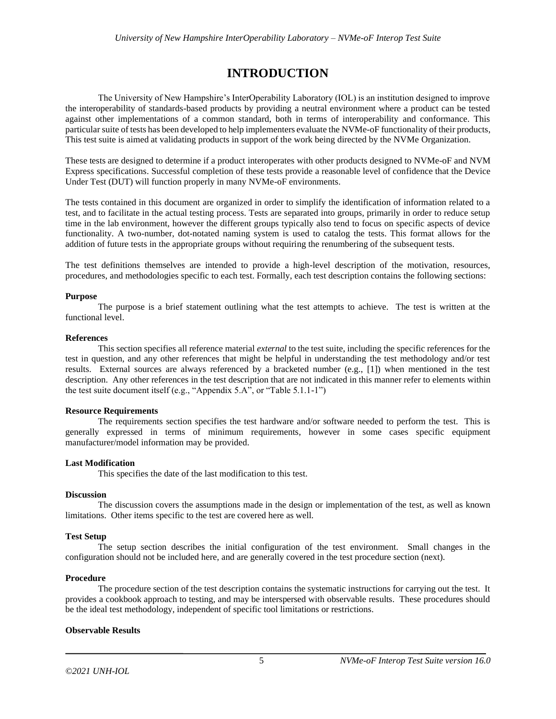# **INTRODUCTION**

<span id="page-4-0"></span>The University of New Hampshire's InterOperability Laboratory (IOL) is an institution designed to improve the interoperability of standards-based products by providing a neutral environment where a product can be tested against other implementations of a common standard, both in terms of interoperability and conformance. This particular suite of tests has been developed to help implementers evaluate the NVMe-oFfunctionality of their products, This test suite is aimed at validating products in support of the work being directed by the NVMe Organization.

These tests are designed to determine if a product interoperates with other products designed to NVMe-oF and NVM Express specifications. Successful completion of these tests provide a reasonable level of confidence that the Device Under Test (DUT) will function properly in many NVMe-oF environments.

The tests contained in this document are organized in order to simplify the identification of information related to a test, and to facilitate in the actual testing process. Tests are separated into groups, primarily in order to reduce setup time in the lab environment, however the different groups typically also tend to focus on specific aspects of device functionality. A two-number, dot-notated naming system is used to catalog the tests. This format allows for the addition of future tests in the appropriate groups without requiring the renumbering of the subsequent tests.

The test definitions themselves are intended to provide a high-level description of the motivation, resources, procedures, and methodologies specific to each test. Formally, each test description contains the following sections:

# **Purpose**

The purpose is a brief statement outlining what the test attempts to achieve. The test is written at the functional level.

# **References**

This section specifies all reference material *external* to the test suite, including the specific references for the test in question, and any other references that might be helpful in understanding the test methodology and/or test results. External sources are always referenced by a bracketed number (e.g., [1]) when mentioned in the test description. Any other references in the test description that are not indicated in this manner refer to elements within the test suite document itself (e.g., "Appendix 5.A", or "Table 5.1.1-1")

### **Resource Requirements**

The requirements section specifies the test hardware and/or software needed to perform the test. This is generally expressed in terms of minimum requirements, however in some cases specific equipment manufacturer/model information may be provided.

# **Last Modification**

This specifies the date of the last modification to this test.

### **Discussion**

The discussion covers the assumptions made in the design or implementation of the test, as well as known limitations. Other items specific to the test are covered here as well.

# **Test Setup**

The setup section describes the initial configuration of the test environment. Small changes in the configuration should not be included here, and are generally covered in the test procedure section (next).

### **Procedure**

The procedure section of the test description contains the systematic instructions for carrying out the test. It provides a cookbook approach to testing, and may be interspersed with observable results. These procedures should be the ideal test methodology, independent of specific tool limitations or restrictions.

### **Observable Results**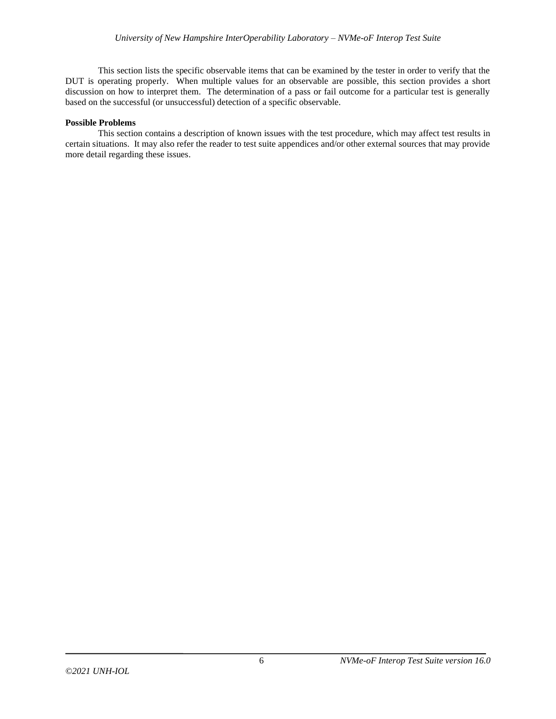This section lists the specific observable items that can be examined by the tester in order to verify that the DUT is operating properly. When multiple values for an observable are possible, this section provides a short discussion on how to interpret them. The determination of a pass or fail outcome for a particular test is generally based on the successful (or unsuccessful) detection of a specific observable.

#### **Possible Problems**

This section contains a description of known issues with the test procedure, which may affect test results in certain situations. It may also refer the reader to test suite appendices and/or other external sources that may provide more detail regarding these issues.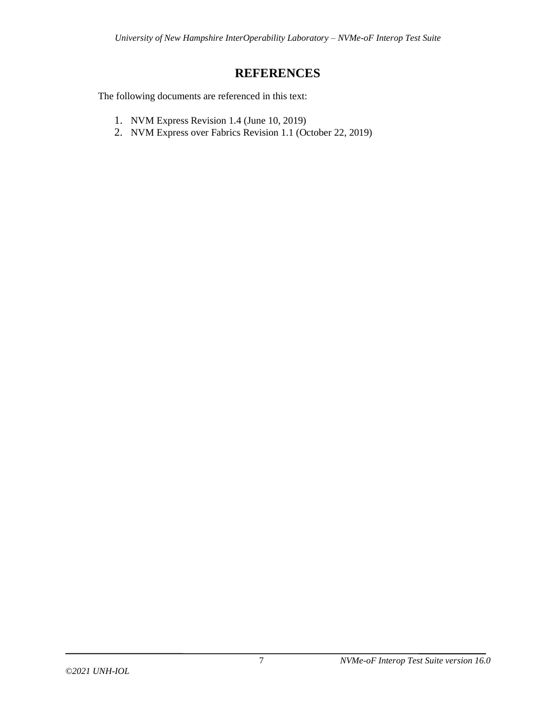# **REFERENCES**

<span id="page-6-0"></span>The following documents are referenced in this text:

- 1. NVM Express Revision 1.4 (June 10, 2019)
- 2. NVM Express over Fabrics Revision 1.1 (October 22, 2019)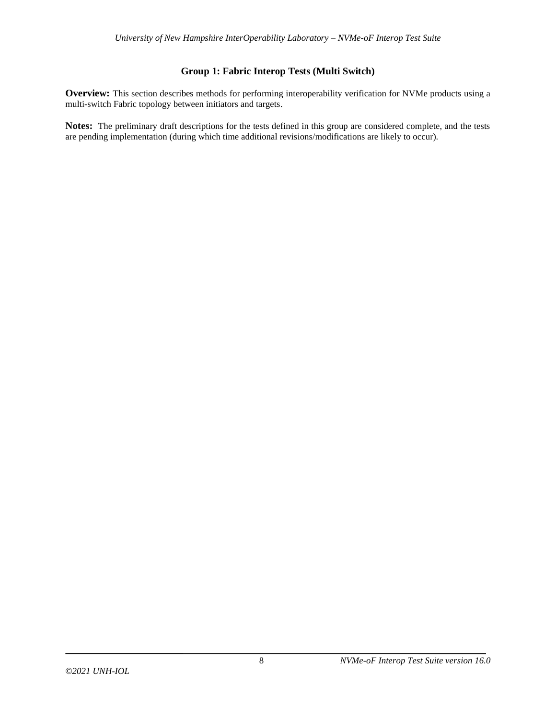# **Group 1: Fabric Interop Tests (Multi Switch)**

<span id="page-7-0"></span>**Overview:** This section describes methods for performing interoperability verification for NVMe products using a multi-switch Fabric topology between initiators and targets.

**Notes:** The preliminary draft descriptions for the tests defined in this group are considered complete, and the tests are pending implementation (during which time additional revisions/modifications are likely to occur).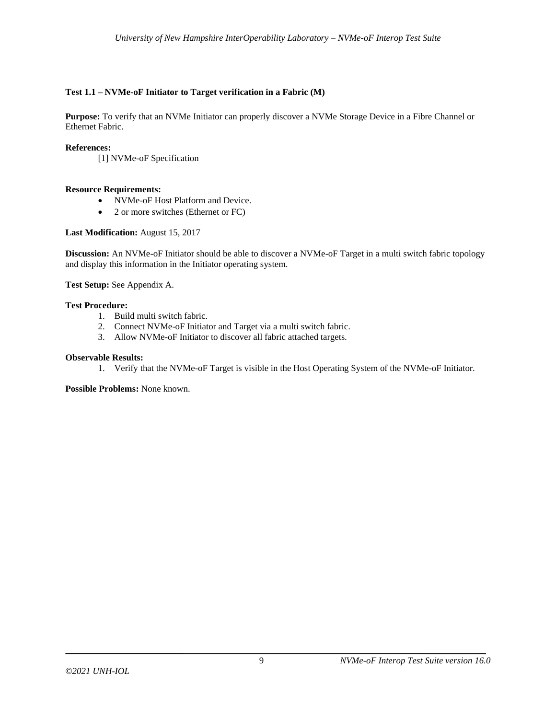# <span id="page-8-0"></span>**Test 1.1 – NVMe-oF Initiator to Target verification in a Fabric (M)**

**Purpose:** To verify that an NVMe Initiator can properly discover a NVMe Storage Device in a Fibre Channel or Ethernet Fabric.

### **References:**

[1] NVMe-oF Specification

### **Resource Requirements:**

- NVMe-oF Host Platform and Device.
- 2 or more switches (Ethernet or FC)

#### **Last Modification:** August 15, 2017

**Discussion:** An NVMe-oF Initiator should be able to discover a NVMe-oF Target in a multi switch fabric topology and display this information in the Initiator operating system.

**Test Setup:** See Appendix A.

# **Test Procedure:**

- 1. Build multi switch fabric.
- 2. Connect NVMe-oF Initiator and Target via a multi switch fabric.
- 3. Allow NVMe-oF Initiator to discover all fabric attached targets.

#### **Observable Results:**

1. Verify that the NVMe-oF Target is visible in the Host Operating System of the NVMe-oF Initiator.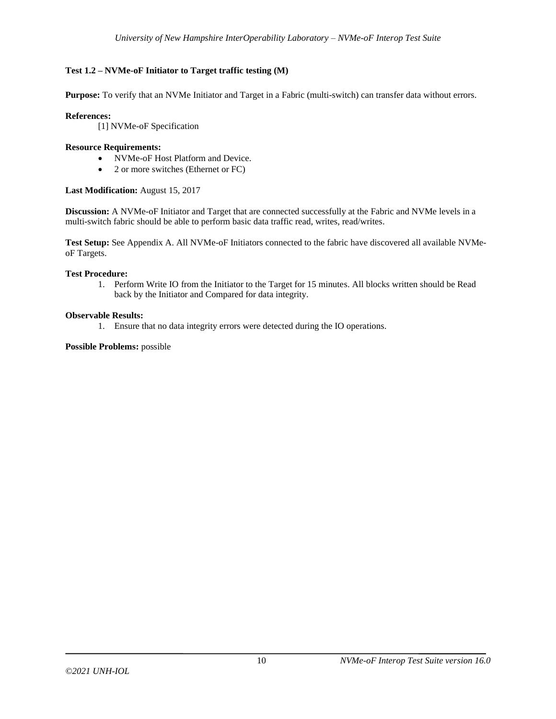# <span id="page-9-0"></span>**Test 1.2 – NVMe-oF Initiator to Target traffic testing (M)**

**Purpose:** To verify that an NVMe Initiator and Target in a Fabric (multi-switch) can transfer data without errors.

# **References:**

[1] NVMe-oF Specification

# **Resource Requirements:**

- NVMe-oF Host Platform and Device.
- 2 or more switches (Ethernet or FC)

# **Last Modification:** August 15, 2017

**Discussion:** A NVMe-oF Initiator and Target that are connected successfully at the Fabric and NVMe levels in a multi-switch fabric should be able to perform basic data traffic read, writes, read/writes.

**Test Setup:** See Appendix A. All NVMe-oF Initiators connected to the fabric have discovered all available NVMeoF Targets.

### **Test Procedure:**

1. Perform Write IO from the Initiator to the Target for 15 minutes. All blocks written should be Read back by the Initiator and Compared for data integrity.

### **Observable Results:**

1. Ensure that no data integrity errors were detected during the IO operations.

**Possible Problems:** possible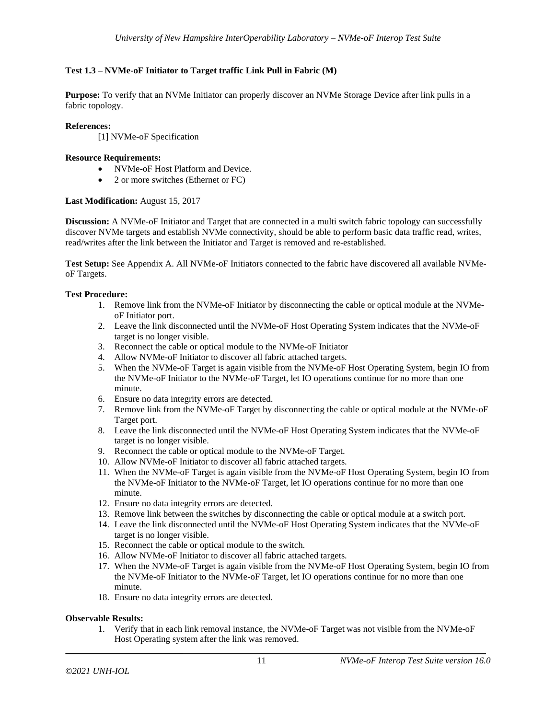# <span id="page-10-0"></span>**Test 1.3 – NVMe-oF Initiator to Target traffic Link Pull in Fabric (M)**

**Purpose:** To verify that an NVMe Initiator can properly discover an NVMe Storage Device after link pulls in a fabric topology.

# **References:**

[1] NVMe-oF Specification

# **Resource Requirements:**

- NVMe-oF Host Platform and Device.
- 2 or more switches (Ethernet or FC)

# **Last Modification:** August 15, 2017

**Discussion:** A NVMe-oF Initiator and Target that are connected in a multi switch fabric topology can successfully discover NVMe targets and establish NVMe connectivity, should be able to perform basic data traffic read, writes, read/writes after the link between the Initiator and Target is removed and re-established.

**Test Setup:** See Appendix A. All NVMe-oF Initiators connected to the fabric have discovered all available NVMeoF Targets.

# **Test Procedure:**

- 1. Remove link from the NVMe-oF Initiator by disconnecting the cable or optical module at the NVMeoF Initiator port.
- 2. Leave the link disconnected until the NVMe-oF Host Operating System indicates that the NVMe-oF target is no longer visible.
- 3. Reconnect the cable or optical module to the NVMe-oF Initiator
- 4. Allow NVMe-oF Initiator to discover all fabric attached targets.
- 5. When the NVMe-oF Target is again visible from the NVMe-oF Host Operating System, begin IO from the NVMe-oF Initiator to the NVMe-oF Target, let IO operations continue for no more than one minute.
- 6. Ensure no data integrity errors are detected.
- 7. Remove link from the NVMe-oF Target by disconnecting the cable or optical module at the NVMe-oF Target port.
- 8. Leave the link disconnected until the NVMe-oF Host Operating System indicates that the NVMe-oF target is no longer visible.
- 9. Reconnect the cable or optical module to the NVMe-oF Target.
- 10. Allow NVMe-oF Initiator to discover all fabric attached targets.
- 11. When the NVMe-oF Target is again visible from the NVMe-oF Host Operating System, begin IO from the NVMe-oF Initiator to the NVMe-oF Target, let IO operations continue for no more than one minute.
- 12. Ensure no data integrity errors are detected.
- 13. Remove link between the switches by disconnecting the cable or optical module at a switch port.
- 14. Leave the link disconnected until the NVMe-oF Host Operating System indicates that the NVMe-oF target is no longer visible.
- 15. Reconnect the cable or optical module to the switch.
- 16. Allow NVMe-oF Initiator to discover all fabric attached targets.
- 17. When the NVMe-oF Target is again visible from the NVMe-oF Host Operating System, begin IO from the NVMe-oF Initiator to the NVMe-oF Target, let IO operations continue for no more than one minute.
- 18. Ensure no data integrity errors are detected.

### **Observable Results:**

1. Verify that in each link removal instance, the NVMe-oF Target was not visible from the NVMe-oF Host Operating system after the link was removed.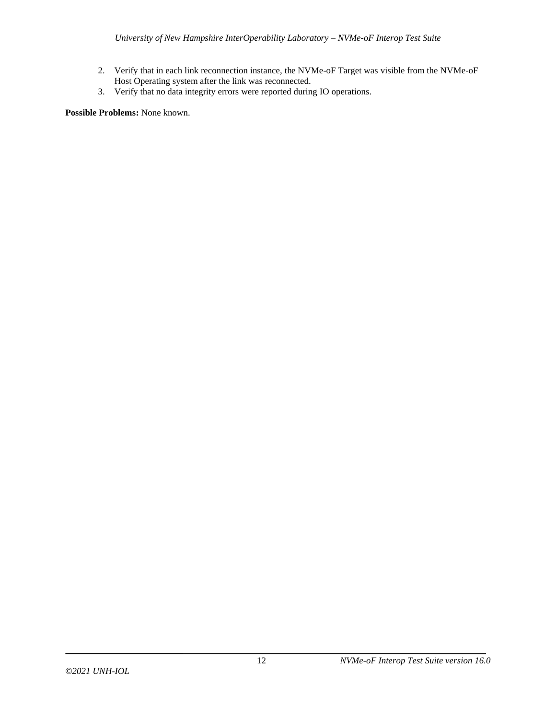- 2. Verify that in each link reconnection instance, the NVMe-oF Target was visible from the NVMe-oF Host Operating system after the link was reconnected.
- 3. Verify that no data integrity errors were reported during IO operations.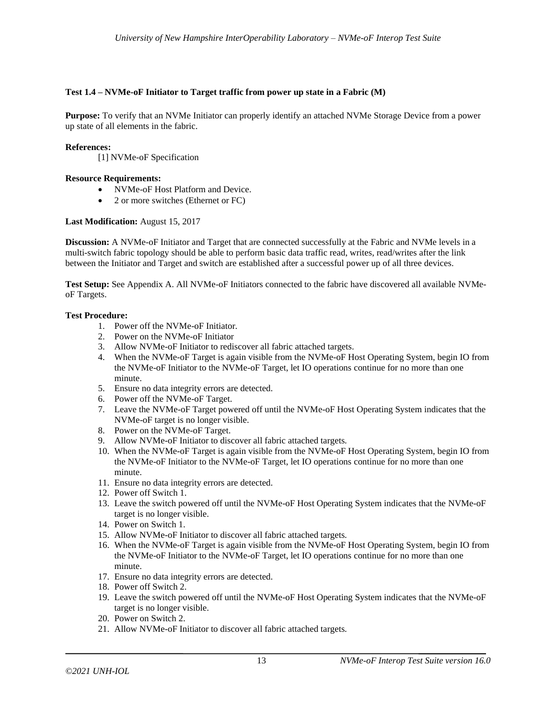# <span id="page-12-0"></span>**Test 1.4 – NVMe-oF Initiator to Target traffic from power up state in a Fabric (M)**

**Purpose:** To verify that an NVMe Initiator can properly identify an attached NVMe Storage Device from a power up state of all elements in the fabric.

# **References:**

[1] NVMe-oF Specification

## **Resource Requirements:**

- NVMe-oF Host Platform and Device.
- 2 or more switches (Ethernet or FC)

# **Last Modification:** August 15, 2017

**Discussion:** A NVMe-oF Initiator and Target that are connected successfully at the Fabric and NVMe levels in a multi-switch fabric topology should be able to perform basic data traffic read, writes, read/writes after the link between the Initiator and Target and switch are established after a successful power up of all three devices.

**Test Setup:** See Appendix A. All NVMe-oF Initiators connected to the fabric have discovered all available NVMeoF Targets.

# **Test Procedure:**

- 1. Power off the NVMe-oF Initiator.
- 2. Power on the NVMe-oF Initiator
- 3. Allow NVMe-oF Initiator to rediscover all fabric attached targets.
- 4. When the NVMe-oF Target is again visible from the NVMe-oF Host Operating System, begin IO from the NVMe-oF Initiator to the NVMe-oF Target, let IO operations continue for no more than one minute.
- 5. Ensure no data integrity errors are detected.
- 6. Power off the NVMe-oF Target.
- 7. Leave the NVMe-oF Target powered off until the NVMe-oF Host Operating System indicates that the NVMe-oF target is no longer visible.
- 8. Power on the NVMe-oF Target.
- 9. Allow NVMe-oF Initiator to discover all fabric attached targets.
- 10. When the NVMe-oF Target is again visible from the NVMe-oF Host Operating System, begin IO from the NVMe-oF Initiator to the NVMe-oF Target, let IO operations continue for no more than one minute.
- 11. Ensure no data integrity errors are detected.
- 12. Power off Switch 1.
- 13. Leave the switch powered off until the NVMe-oF Host Operating System indicates that the NVMe-oF target is no longer visible.
- 14. Power on Switch 1.
- 15. Allow NVMe-oF Initiator to discover all fabric attached targets.
- 16. When the NVMe-oF Target is again visible from the NVMe-oF Host Operating System, begin IO from the NVMe-oF Initiator to the NVMe-oF Target, let IO operations continue for no more than one minute.
- 17. Ensure no data integrity errors are detected.
- 18. Power off Switch 2.
- 19. Leave the switch powered off until the NVMe-oF Host Operating System indicates that the NVMe-oF target is no longer visible.
- 20. Power on Switch 2.
- 21. Allow NVMe-oF Initiator to discover all fabric attached targets.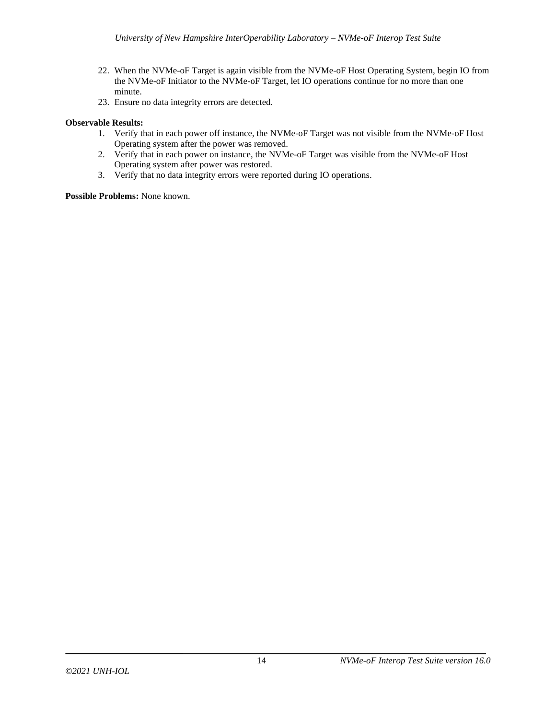- 22. When the NVMe-oF Target is again visible from the NVMe-oF Host Operating System, begin IO from the NVMe-oF Initiator to the NVMe-oF Target, let IO operations continue for no more than one minute.
- 23. Ensure no data integrity errors are detected.

# **Observable Results:**

- 1. Verify that in each power off instance, the NVMe-oF Target was not visible from the NVMe-oF Host Operating system after the power was removed.
- 2. Verify that in each power on instance, the NVMe-oF Target was visible from the NVMe-oF Host Operating system after power was restored.
- 3. Verify that no data integrity errors were reported during IO operations.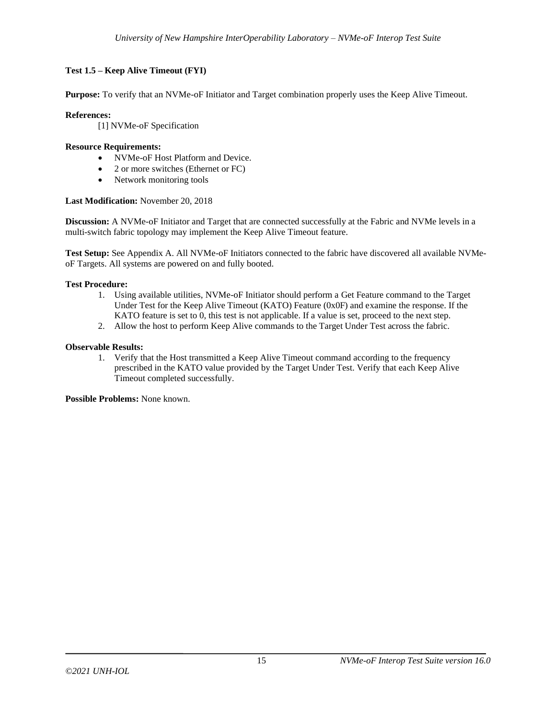# <span id="page-14-0"></span>**Test 1.5 – Keep Alive Timeout (FYI)**

**Purpose:** To verify that an NVMe-oF Initiator and Target combination properly uses the Keep Alive Timeout.

# **References:**

[1] NVMe-oF Specification

# **Resource Requirements:**

- NVMe-oF Host Platform and Device.
- 2 or more switches (Ethernet or FC)
- Network monitoring tools

# **Last Modification:** November 20, 2018

**Discussion:** A NVMe-oF Initiator and Target that are connected successfully at the Fabric and NVMe levels in a multi-switch fabric topology may implement the Keep Alive Timeout feature.

**Test Setup:** See Appendix A. All NVMe-oF Initiators connected to the fabric have discovered all available NVMeoF Targets. All systems are powered on and fully booted.

# **Test Procedure:**

- 1. Using available utilities, NVMe-oF Initiator should perform a Get Feature command to the Target Under Test for the Keep Alive Timeout (KATO) Feature (0x0F) and examine the response. If the KATO feature is set to 0, this test is not applicable. If a value is set, proceed to the next step.
- 2. Allow the host to perform Keep Alive commands to the Target Under Test across the fabric.

# **Observable Results:**

1. Verify that the Host transmitted a Keep Alive Timeout command according to the frequency prescribed in the KATO value provided by the Target Under Test. Verify that each Keep Alive Timeout completed successfully.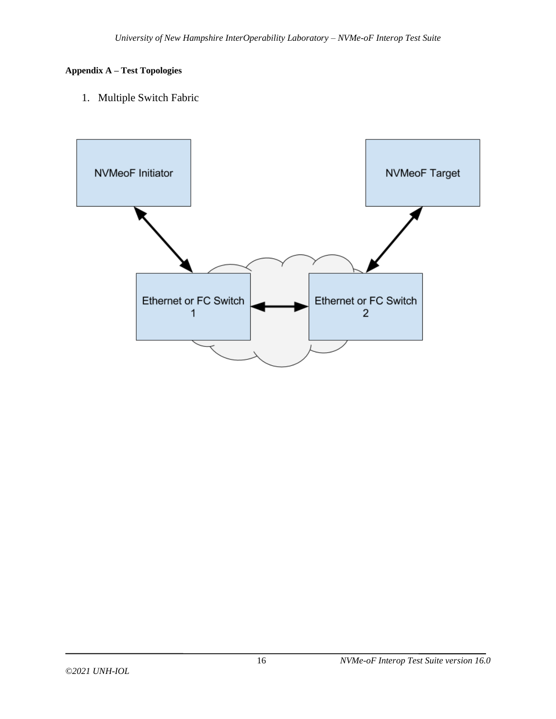# <span id="page-15-0"></span>**Appendix A – Test Topologies**

1. Multiple Switch Fabric

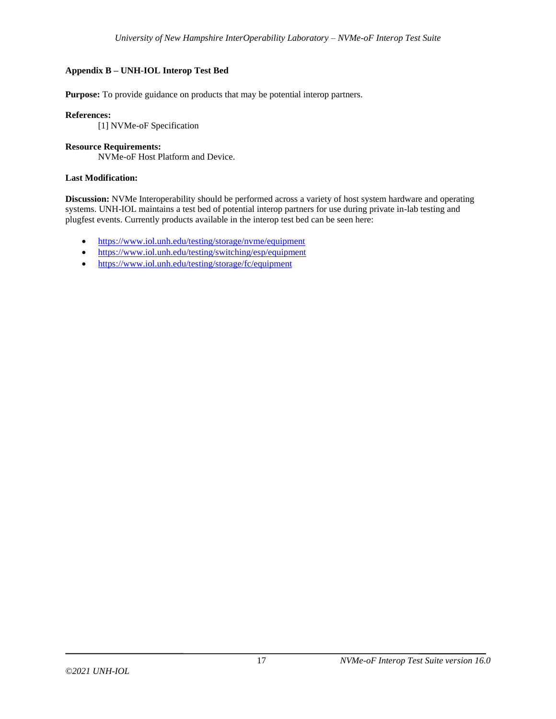# <span id="page-16-0"></span>**Appendix B – UNH-IOL Interop Test Bed**

**Purpose:** To provide guidance on products that may be potential interop partners.

# **References:**

[1] NVMe-oF Specification

## **Resource Requirements:**

NVMe-oF Host Platform and Device.

# **Last Modification:**

**Discussion:** NVMe Interoperability should be performed across a variety of host system hardware and operating systems. UNH-IOL maintains a test bed of potential interop partners for use during private in-lab testing and plugfest events. Currently products available in the interop test bed can be seen here:

- https://www.iol.unh.edu/testing/storage/nyme/equipment
- <https://www.iol.unh.edu/testing/switching/esp/equipment>
- <https://www.iol.unh.edu/testing/storage/fc/equipment>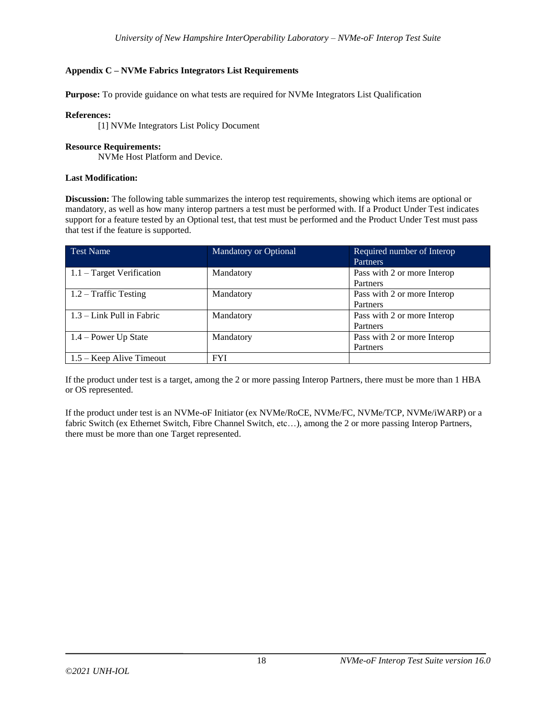# <span id="page-17-0"></span>**Appendix C – NVMe Fabrics Integrators List Requirements**

**Purpose:** To provide guidance on what tests are required for NVMe Integrators List Qualification

## **References:**

[1] NVMe Integrators List Policy Document

### **Resource Requirements:**

NVMe Host Platform and Device.

## **Last Modification:**

**Discussion:** The following table summarizes the interop test requirements, showing which items are optional or mandatory, as well as how many interop partners a test must be performed with. If a Product Under Test indicates support for a feature tested by an Optional test, that test must be performed and the Product Under Test must pass that test if the feature is supported.

| <b>Test Name</b>            | <b>Mandatory or Optional</b> | Required number of Interop<br><b>Partners</b> |
|-----------------------------|------------------------------|-----------------------------------------------|
| $1.1$ – Target Verification | Mandatory                    | Pass with 2 or more Interop                   |
|                             |                              | Partners                                      |
| $1.2$ – Traffic Testing     | Mandatory                    | Pass with 2 or more Interop                   |
|                             |                              | Partners                                      |
| $1.3 -$ Link Pull in Fabric | Mandatory                    | Pass with 2 or more Interop                   |
|                             |                              | Partners                                      |
| $1.4 - Power Up State$      | Mandatory                    | Pass with 2 or more Interop                   |
|                             |                              | Partners                                      |
| $1.5 -$ Keep Alive Timeout  | <b>FYI</b>                   |                                               |

If the product under test is a target, among the 2 or more passing Interop Partners, there must be more than 1 HBA or OS represented.

If the product under test is an NVMe-oF Initiator (ex NVMe/RoCE, NVMe/FC, NVMe/TCP, NVMe/iWARP) or a fabric Switch (ex Ethernet Switch, Fibre Channel Switch, etc…), among the 2 or more passing Interop Partners, there must be more than one Target represented.